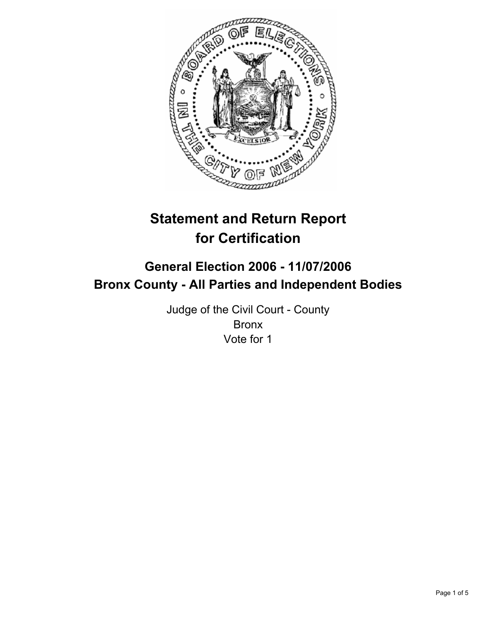

# **Statement and Return Report for Certification**

# **General Election 2006 - 11/07/2006 Bronx County - All Parties and Independent Bodies**

Judge of the Civil Court - County Bronx Vote for 1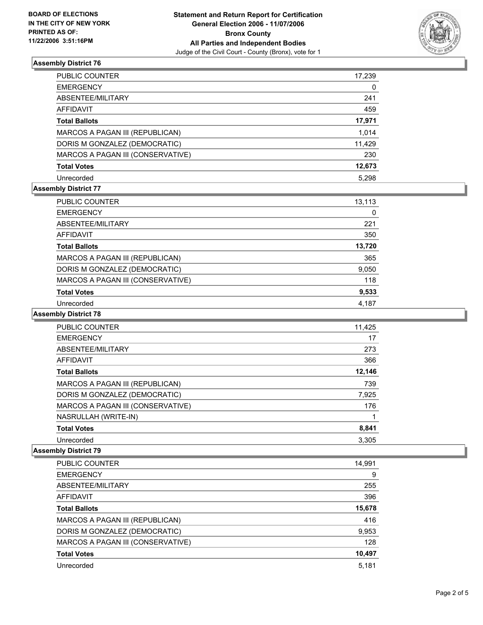

# **Assembly District 76**

| PUBLIC COUNTER                    | 17,239 |
|-----------------------------------|--------|
| EMERGENCY                         | 0      |
| ABSENTEE/MILITARY                 | 241    |
| AFFIDAVIT                         | 459    |
| Total Ballots                     | 17,971 |
| MARCOS A PAGAN III (REPUBLICAN)   | 1,014  |
| DORIS M GONZALEZ (DEMOCRATIC)     | 11,429 |
| MARCOS A PAGAN III (CONSERVATIVE) | 230    |
| Total Votes                       | 12,673 |
| Unrecorded                        | 5.298  |

# **Assembly District 77**

| PUBLIC COUNTER                    | 13,113 |  |
|-----------------------------------|--------|--|
| <b>EMERGENCY</b>                  | 0      |  |
| ABSENTEE/MILITARY                 | 221    |  |
| AFFIDAVIT                         | 350    |  |
| <b>Total Ballots</b>              | 13,720 |  |
| MARCOS A PAGAN III (REPUBLICAN)   | 365    |  |
| DORIS M GONZALEZ (DEMOCRATIC)     | 9,050  |  |
| MARCOS A PAGAN III (CONSERVATIVE) | 118    |  |
| <b>Total Votes</b>                | 9,533  |  |
| Unrecorded                        | 4.187  |  |

#### **Assembly District 78**

| PUBLIC COUNTER                    | 11,425 |
|-----------------------------------|--------|
| <b>EMERGENCY</b>                  | 17     |
| ABSENTEE/MILITARY                 | 273    |
| AFFIDAVIT                         | 366    |
| <b>Total Ballots</b>              | 12,146 |
| MARCOS A PAGAN III (REPUBLICAN)   | 739    |
| DORIS M GONZALEZ (DEMOCRATIC)     | 7,925  |
| MARCOS A PAGAN III (CONSERVATIVE) | 176    |
| NASRULLAH (WRITE-IN)              |        |
| <b>Total Votes</b>                | 8,841  |
| Unrecorded                        | 3.305  |

### **Assembly District 79**

| PUBLIC COUNTER                    | 14,991 |
|-----------------------------------|--------|
| <b>EMERGENCY</b>                  | 9      |
| ABSENTEE/MILITARY                 | 255    |
| AFFIDAVIT                         | 396    |
| <b>Total Ballots</b>              | 15,678 |
| MARCOS A PAGAN III (REPUBLICAN)   | 416    |
| DORIS M GONZALEZ (DEMOCRATIC)     | 9,953  |
| MARCOS A PAGAN III (CONSERVATIVE) | 128    |
| <b>Total Votes</b>                | 10,497 |
| Unrecorded                        | 5,181  |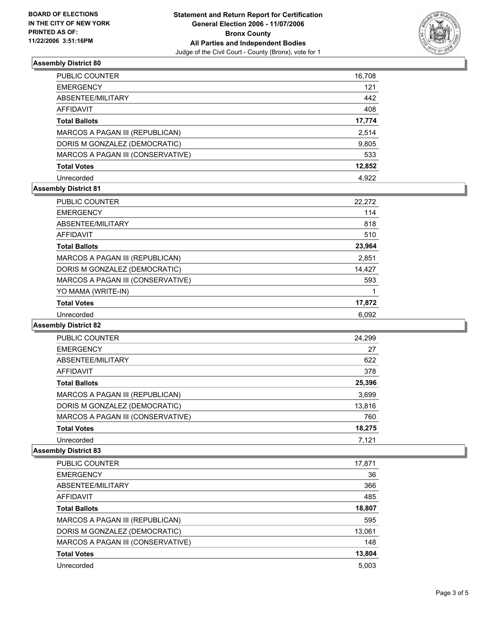

# **Assembly District 80**

| PUBLIC COUNTER                    | 16,708 |
|-----------------------------------|--------|
| <b>EMERGENCY</b>                  | 121    |
| ABSENTEE/MILITARY                 | 442    |
| AFFIDAVIT                         | 408    |
| <b>Total Ballots</b>              | 17,774 |
| MARCOS A PAGAN III (REPUBLICAN)   | 2,514  |
| DORIS M GONZALEZ (DEMOCRATIC)     | 9,805  |
| MARCOS A PAGAN III (CONSERVATIVE) | 533    |
| <b>Total Votes</b>                | 12,852 |
| Unrecorded                        | 4.922  |

# **Assembly District 81**

| <b>PUBLIC COUNTER</b>             | 22,272 |
|-----------------------------------|--------|
| <b>EMERGENCY</b>                  | 114    |
| ABSENTEE/MILITARY                 | 818    |
| AFFIDAVIT                         | 510    |
| <b>Total Ballots</b>              | 23,964 |
| MARCOS A PAGAN III (REPUBLICAN)   | 2.851  |
| DORIS M GONZALEZ (DEMOCRATIC)     | 14,427 |
| MARCOS A PAGAN III (CONSERVATIVE) | 593    |
| YO MAMA (WRITE-IN)                |        |
| <b>Total Votes</b>                | 17,872 |
| Unrecorded                        | 6.092  |

#### **Assembly District 82**

| <b>PUBLIC COUNTER</b>             | 24,299 |  |
|-----------------------------------|--------|--|
| <b>EMERGENCY</b>                  | 27     |  |
| ABSENTEE/MILITARY                 | 622    |  |
| AFFIDAVIT                         | 378    |  |
| <b>Total Ballots</b>              | 25,396 |  |
| MARCOS A PAGAN III (REPUBLICAN)   | 3,699  |  |
| DORIS M GONZALEZ (DEMOCRATIC)     | 13,816 |  |
| MARCOS A PAGAN III (CONSERVATIVE) | 760    |  |
| <b>Total Votes</b>                | 18,275 |  |
| Unrecorded                        | 7.121  |  |

#### **Assembly District 83**

| PUBLIC COUNTER                    | 17,871 |
|-----------------------------------|--------|
| <b>EMERGENCY</b>                  | 36     |
| ABSENTEE/MILITARY                 | 366    |
| AFFIDAVIT                         | 485    |
| <b>Total Ballots</b>              | 18,807 |
| MARCOS A PAGAN III (REPUBLICAN)   | 595    |
| DORIS M GONZALEZ (DEMOCRATIC)     | 13,061 |
| MARCOS A PAGAN III (CONSERVATIVE) | 148    |
| <b>Total Votes</b>                | 13,804 |
| Unrecorded                        | 5,003  |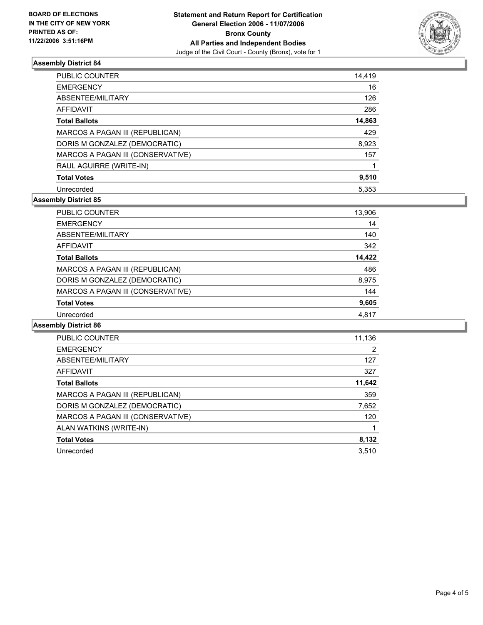

# **Assembly District 84**

| PUBLIC COUNTER                    | 14,419 |
|-----------------------------------|--------|
| <b>EMERGENCY</b>                  | 16     |
| ABSENTEE/MILITARY                 | 126    |
| <b>AFFIDAVIT</b>                  | 286    |
| <b>Total Ballots</b>              | 14,863 |
| MARCOS A PAGAN III (REPUBLICAN)   | 429    |
| DORIS M GONZALEZ (DEMOCRATIC)     | 8,923  |
| MARCOS A PAGAN III (CONSERVATIVE) | 157    |
| RAUL AGUIRRE (WRITE-IN)           |        |
| <b>Total Votes</b>                | 9,510  |
| Unrecorded                        | 5.353  |

# **Assembly District 85**

| <b>PUBLIC COUNTER</b>             | 13,906 |
|-----------------------------------|--------|
| <b>EMERGENCY</b>                  | 14     |
| ABSENTEE/MILITARY                 | 140    |
| AFFIDAVIT                         | 342    |
| <b>Total Ballots</b>              | 14,422 |
| MARCOS A PAGAN III (REPUBLICAN)   | 486    |
| DORIS M GONZALEZ (DEMOCRATIC)     | 8,975  |
| MARCOS A PAGAN III (CONSERVATIVE) | 144    |
| <b>Total Votes</b>                | 9,605  |
| Unrecorded                        | 4,817  |

# **Assembly District 86**

| <b>PUBLIC COUNTER</b>             | 11,136 |
|-----------------------------------|--------|
| <b>EMERGENCY</b>                  | 2      |
| ABSENTEE/MILITARY                 | 127    |
| AFFIDAVIT                         | 327    |
| <b>Total Ballots</b>              | 11,642 |
| MARCOS A PAGAN III (REPUBLICAN)   | 359    |
| DORIS M GONZALEZ (DEMOCRATIC)     | 7,652  |
| MARCOS A PAGAN III (CONSERVATIVE) | 120    |
| ALAN WATKINS (WRITE-IN)           |        |
| <b>Total Votes</b>                | 8,132  |
| Unrecorded                        | 3.510  |